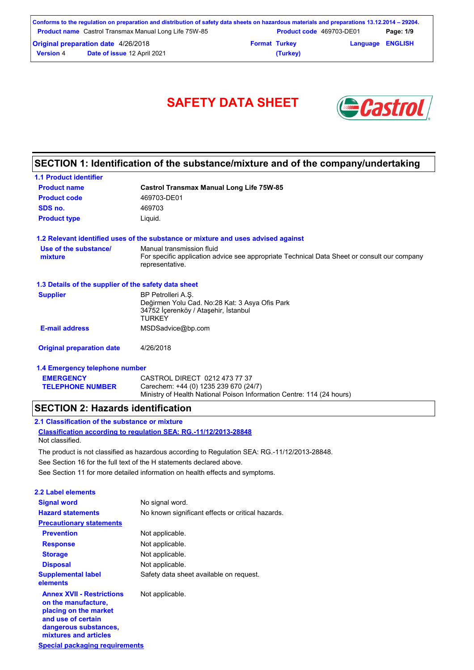|                                            | Conforms to the regulation on preparation and distribution of safety data sheets on hazardous materials and preparations 13.12.2014 – 29204. |                      |                          |  |           |
|--------------------------------------------|----------------------------------------------------------------------------------------------------------------------------------------------|----------------------|--------------------------|--|-----------|
|                                            | <b>Product name</b> Castrol Transmax Manual Long Life 75W-85                                                                                 |                      | Product code 469703-DE01 |  | Page: 1/9 |
| <b>Original preparation date 4/26/2018</b> |                                                                                                                                              | <b>Format Turkey</b> | <b>Language ENGLISH</b>  |  |           |
| <b>Version 4</b>                           | Date of issue 12 April 2021                                                                                                                  |                      | (Turkey)                 |  |           |



# **SECTION 1: Identification of the substance/mixture and of the company/undertaking**

| <b>1.1 Product identifier</b>                        |                                                                                                                |
|------------------------------------------------------|----------------------------------------------------------------------------------------------------------------|
| <b>Product name</b>                                  | <b>Castrol Transmax Manual Long Life 75W-85</b>                                                                |
| <b>Product code</b>                                  | 469703-DE01                                                                                                    |
| SDS no.                                              | 469703                                                                                                         |
| <b>Product type</b>                                  | Liquid.                                                                                                        |
|                                                      | 1.2 Relevant identified uses of the substance or mixture and uses advised against                              |
| Use of the substance/                                | Manual transmission fluid                                                                                      |
| mixture                                              | For specific application advice see appropriate Technical Data Sheet or consult our company<br>representative. |
| 1.3 Details of the supplier of the safety data sheet |                                                                                                                |
| <b>Supplier</b>                                      | BP Petrolleri A.S.                                                                                             |
|                                                      | Değirmen Yolu Cad. No:28 Kat: 3 Asya Ofis Park<br>34752 İçerenköy / Ataşehir, İstanbul                         |
|                                                      | <b>TURKFY</b>                                                                                                  |
| <b>E-mail address</b>                                | MSDSadvice@bp.com                                                                                              |
| <b>Original preparation date</b>                     | 4/26/2018                                                                                                      |
| 1.4 Emergency telephone number                       |                                                                                                                |
| <b>EMERGENCY</b>                                     | CASTROL DIRECT 0212 473 77 37                                                                                  |
| <b>TELEPHONE NUMBER</b>                              | Carechem: +44 (0) 1235 239 670 (24/7)                                                                          |
|                                                      | Ministry of Health National Poison Information Centre: 114 (24 hours)                                          |

### **SECTION 2: Hazards identification**

**Classification according to regulation SEA: RG.-11/12/2013-28848 2.1 Classification of the substance or mixture** Not classified.

The product is not classified as hazardous according to Regulation SEA: RG.-11/12/2013-28848.

See Section 16 for the full text of the H statements declared above.

See Section 11 for more detailed information on health effects and symptoms.

| 2.2 Label elements                                                                                                                                       |                                                   |
|----------------------------------------------------------------------------------------------------------------------------------------------------------|---------------------------------------------------|
| <b>Signal word</b>                                                                                                                                       | No signal word.                                   |
| <b>Hazard statements</b>                                                                                                                                 | No known significant effects or critical hazards. |
| <b>Precautionary statements</b>                                                                                                                          |                                                   |
| <b>Prevention</b>                                                                                                                                        | Not applicable.                                   |
| <b>Response</b>                                                                                                                                          | Not applicable.                                   |
| <b>Storage</b>                                                                                                                                           | Not applicable.                                   |
| <b>Disposal</b>                                                                                                                                          | Not applicable.                                   |
| <b>Supplemental label</b><br>elements                                                                                                                    | Safety data sheet available on request.           |
| <b>Annex XVII - Restrictions</b><br>on the manufacture,<br>placing on the market<br>and use of certain<br>dangerous substances,<br>mixtures and articles | Not applicable.                                   |
| <b>Special packaging requirements</b>                                                                                                                    |                                                   |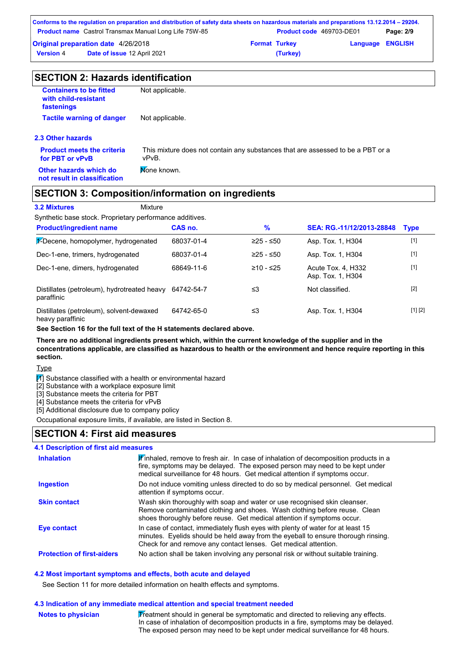|                                                              | Conforms to the regulation on preparation and distribution of safety data sheets on hazardous materials and preparations 13.12.2014 – 29204. |                      |                          |                         |           |
|--------------------------------------------------------------|----------------------------------------------------------------------------------------------------------------------------------------------|----------------------|--------------------------|-------------------------|-----------|
| <b>Product name</b> Castrol Transmax Manual Long Life 75W-85 |                                                                                                                                              |                      | Product code 469703-DE01 |                         | Page: 2/9 |
| <b>Original preparation date 4/26/2018</b>                   |                                                                                                                                              | <b>Format Turkey</b> |                          | <b>Language ENGLISH</b> |           |
| Date of issue 12 April 2021<br><b>Version 4</b>              |                                                                                                                                              |                      | (Turkey)                 |                         |           |

| <b>SECTION 2: Hazards identification</b>                             |                                                                                          |  |  |  |
|----------------------------------------------------------------------|------------------------------------------------------------------------------------------|--|--|--|
| <b>Containers to be fitted</b><br>with child-resistant<br>fastenings | Not applicable.                                                                          |  |  |  |
| <b>Tactile warning of danger</b>                                     | Not applicable.                                                                          |  |  |  |
| 2.3 Other hazards                                                    |                                                                                          |  |  |  |
| <b>Product meets the criteria</b><br>for PBT or vPvB                 | This mixture does not contain any substances that are assessed to be a PBT or a<br>vPvB. |  |  |  |
| Other hazards which do<br>not result in classification               | Mone known.                                                                              |  |  |  |

#### **SECTION 3: Composition/information on ingredients**

#### **3.2 Mixtures** Mixture

Synthetic base stock. Proprietary performance additives.

| <b>Product/ingredient name</b>                               | CAS no.    | %           | SEA: RG.-11/12/2013-28848               | <b>Type</b> |
|--------------------------------------------------------------|------------|-------------|-----------------------------------------|-------------|
| 1-Decene, homopolymer, hydrogenated                          | 68037-01-4 | $≥25 - ≤50$ | Asp. Tox. 1, H304                       | $[1]$       |
| Dec-1-ene, trimers, hydrogenated                             | 68037-01-4 | $≥25 - ≤50$ | Asp. Tox. 1, H304                       | $[1]$       |
| Dec-1-ene, dimers, hydrogenated                              | 68649-11-6 | $≥10 - ≤25$ | Acute Tox. 4. H332<br>Asp. Tox. 1, H304 | $[1]$       |
| Distillates (petroleum), hydrotreated heavy<br>paraffinic    | 64742-54-7 | ≤3          | Not classified.                         | $[2]$       |
| Distillates (petroleum), solvent-dewaxed<br>heavy paraffinic | 64742-65-0 | ≤3          | Asp. Tox. 1, H304                       | [1] [2]     |

**See Section 16 for the full text of the H statements declared above.**

**There are no additional ingredients present which, within the current knowledge of the supplier and in the concentrations applicable, are classified as hazardous to health or the environment and hence require reporting in this section.**

**Type** 

 $\boxed{1}$  Substance classified with a health or environmental hazard

[2] Substance with a workplace exposure limit

[3] Substance meets the criteria for PBT

[4] Substance meets the criteria for vPvB

[5] Additional disclosure due to company policy

Occupational exposure limits, if available, are listed in Section 8.

#### **SECTION 4: First aid measures**

#### **4.1 Description of first aid measures**

| <b>Inhalation</b>                 | Finhaled, remove to fresh air. In case of inhalation of decomposition products in a<br>fire, symptoms may be delayed. The exposed person may need to be kept under<br>medical surveillance for 48 hours. Get medical attention if symptoms occur. |
|-----------------------------------|---------------------------------------------------------------------------------------------------------------------------------------------------------------------------------------------------------------------------------------------------|
| <b>Ingestion</b>                  | Do not induce vomiting unless directed to do so by medical personnel. Get medical<br>attention if symptoms occur.                                                                                                                                 |
| <b>Skin contact</b>               | Wash skin thoroughly with soap and water or use recognised skin cleanser.<br>Remove contaminated clothing and shoes. Wash clothing before reuse. Clean<br>shoes thoroughly before reuse. Get medical attention if symptoms occur.                 |
| Eye contact                       | In case of contact, immediately flush eyes with plenty of water for at least 15<br>minutes. Eyelids should be held away from the eyeball to ensure thorough rinsing.<br>Check for and remove any contact lenses. Get medical attention.           |
| <b>Protection of first-aiders</b> | No action shall be taken involving any personal risk or without suitable training.                                                                                                                                                                |

#### **4.2 Most important symptoms and effects, both acute and delayed**

See Section 11 for more detailed information on health effects and symptoms.

#### **4.3 Indication of any immediate medical attention and special treatment needed**

**Notes to physician**

Treatment should in general be symptomatic and directed to relieving any effects. In case of inhalation of decomposition products in a fire, symptoms may be delayed. The exposed person may need to be kept under medical surveillance for 48 hours.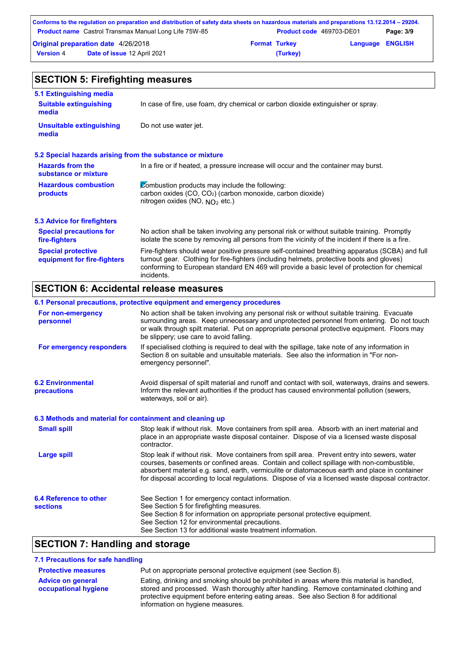|                                            | Conforms to the regulation on preparation and distribution of safety data sheets on hazardous materials and preparations 13.12.2014 – 29204. |                      |                                 |                         |           |
|--------------------------------------------|----------------------------------------------------------------------------------------------------------------------------------------------|----------------------|---------------------------------|-------------------------|-----------|
|                                            | <b>Product name</b> Castrol Transmax Manual Long Life 75W-85                                                                                 |                      | <b>Product code</b> 469703-DE01 |                         | Page: 3/9 |
| <b>Original preparation date 4/26/2018</b> |                                                                                                                                              | <b>Format Turkey</b> |                                 | <b>Language ENGLISH</b> |           |
| <b>Version 4</b>                           | Date of issue 12 April 2021                                                                                                                  |                      | (Turkey)                        |                         |           |

| <b>SECTION 5: Firefighting measures</b>                   |                                                                                                                                                                                                                                                                                                           |  |  |
|-----------------------------------------------------------|-----------------------------------------------------------------------------------------------------------------------------------------------------------------------------------------------------------------------------------------------------------------------------------------------------------|--|--|
| 5.1 Extinguishing media                                   |                                                                                                                                                                                                                                                                                                           |  |  |
| <b>Suitable extinguishing</b><br>media                    | In case of fire, use foam, dry chemical or carbon dioxide extinguisher or spray.                                                                                                                                                                                                                          |  |  |
| <b>Unsuitable extinguishing</b><br>media                  | Do not use water jet.                                                                                                                                                                                                                                                                                     |  |  |
| 5.2 Special hazards arising from the substance or mixture |                                                                                                                                                                                                                                                                                                           |  |  |
| <b>Hazards from the</b><br>substance or mixture           | In a fire or if heated, a pressure increase will occur and the container may burst.                                                                                                                                                                                                                       |  |  |
| <b>Hazardous combustion</b><br>products                   | Combustion products may include the following:<br>carbon oxides (CO, CO <sub>2</sub> ) (carbon monoxide, carbon dioxide)<br>nitrogen oxides (NO, $NO2$ etc.)                                                                                                                                              |  |  |
| 5.3 Advice for firefighters                               |                                                                                                                                                                                                                                                                                                           |  |  |
| <b>Special precautions for</b><br>fire-fighters           | No action shall be taken involving any personal risk or without suitable training. Promptly<br>isolate the scene by removing all persons from the vicinity of the incident if there is a fire.                                                                                                            |  |  |
| <b>Special protective</b><br>equipment for fire-fighters  | Fire-fighters should wear positive pressure self-contained breathing apparatus (SCBA) and full<br>turnout gear. Clothing for fire-fighters (including helmets, protective boots and gloves)<br>conforming to European standard EN 469 will provide a basic level of protection for chemical<br>incidents. |  |  |

# **SECTION 6: Accidental release measures**

|                                                          | 6.1 Personal precautions, protective equipment and emergency procedures                                                                                                                                                                                                                                                                                                                        |
|----------------------------------------------------------|------------------------------------------------------------------------------------------------------------------------------------------------------------------------------------------------------------------------------------------------------------------------------------------------------------------------------------------------------------------------------------------------|
| For non-emergency<br>personnel                           | No action shall be taken involving any personal risk or without suitable training. Evacuate<br>surrounding areas. Keep unnecessary and unprotected personnel from entering. Do not touch<br>or walk through spilt material. Put on appropriate personal protective equipment. Floors may<br>be slippery; use care to avoid falling.                                                            |
| For emergency responders                                 | If specialised clothing is required to deal with the spillage, take note of any information in<br>Section 8 on suitable and unsuitable materials. See also the information in "For non-<br>emergency personnel".                                                                                                                                                                               |
| <b>6.2 Environmental</b><br>precautions                  | Avoid dispersal of spilt material and runoff and contact with soil, waterways, drains and sewers.<br>Inform the relevant authorities if the product has caused environmental pollution (sewers,<br>waterways, soil or air).                                                                                                                                                                    |
| 6.3 Methods and material for containment and cleaning up |                                                                                                                                                                                                                                                                                                                                                                                                |
| <b>Small spill</b>                                       | Stop leak if without risk. Move containers from spill area. Absorb with an inert material and<br>place in an appropriate waste disposal container. Dispose of via a licensed waste disposal<br>contractor.                                                                                                                                                                                     |
| <b>Large spill</b>                                       | Stop leak if without risk. Move containers from spill area. Prevent entry into sewers, water<br>courses, basements or confined areas. Contain and collect spillage with non-combustible,<br>absorbent material e.g. sand, earth, vermiculite or diatomaceous earth and place in container<br>for disposal according to local regulations. Dispose of via a licensed waste disposal contractor. |
| 6.4 Reference to other<br><b>sections</b>                | See Section 1 for emergency contact information.<br>See Section 5 for firefighting measures.<br>See Section 8 for information on appropriate personal protective equipment.<br>See Section 12 for environmental precautions.<br>See Section 13 for additional waste treatment information.                                                                                                     |

# **SECTION 7: Handling and storage**

#### **7.1 Precautions for safe handling**

| <b>Protective measures</b>                       | Put on appropriate personal protective equipment (see Section 8).                                                                                                                    |
|--------------------------------------------------|--------------------------------------------------------------------------------------------------------------------------------------------------------------------------------------|
| <b>Advice on general</b><br>occupational hygiene | Eating, drinking and smoking should be prohibited in areas where this material is handled,<br>stored and processed. Wash thoroughly after handling. Remove contaminated clothing and |
|                                                  | protective equipment before entering eating areas. See also Section 8 for additional<br>information on hygiene measures.                                                             |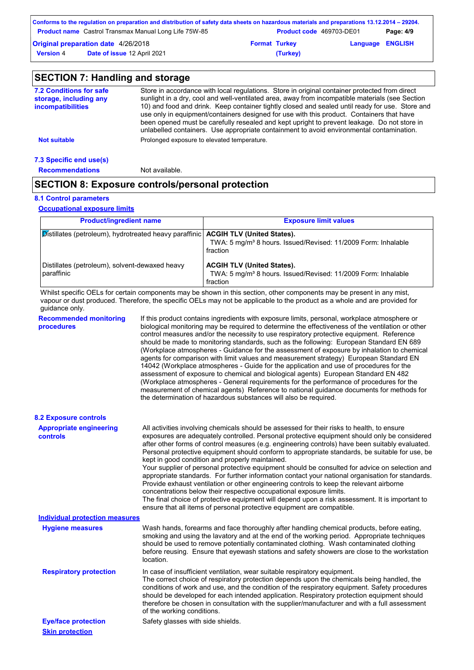|                                            | Conforms to the regulation on preparation and distribution of safety data sheets on hazardous materials and preparations 13.12.2014 – 29204. |                      |                                 |                         |           |
|--------------------------------------------|----------------------------------------------------------------------------------------------------------------------------------------------|----------------------|---------------------------------|-------------------------|-----------|
|                                            | <b>Product name</b> Castrol Transmax Manual Long Life 75W-85                                                                                 |                      | <b>Product code</b> 469703-DE01 |                         | Page: 4/9 |
| <b>Original preparation date 4/26/2018</b> |                                                                                                                                              | <b>Format Turkey</b> |                                 | <b>Language ENGLISH</b> |           |
| <b>Version 4</b>                           | Date of issue 12 April 2021                                                                                                                  |                      | (Turkey)                        |                         |           |

#### **SECTION 7: Handling and storage** Store in accordance with local regulations. Store in original container protected from direct sunlight in a dry, cool and well-ventilated area, away from incompatible materials (see Section 10) and food and drink. Keep container tightly closed and sealed until ready for use. Store and use only in equipment/containers designed for use with this product. Containers that have been opened must be carefully resealed and kept upright to prevent leakage. Do not store in unlabelled containers. Use appropriate containment to avoid environmental contamination. **7.2 Conditions for safe storage, including any incompatibilities 7.3 Specific end use(s) Not suitable Not suitable** Prolonged exposure to elevated temperature.

**Recommendations** Not available.

### **SECTION 8: Exposure controls/personal protection**

#### **8.1 Control parameters**

**Occupational exposure limits**

| <b>Product/ingredient name</b>                                                      | <b>Exposure limit values</b>                                                                                               |
|-------------------------------------------------------------------------------------|----------------------------------------------------------------------------------------------------------------------------|
| Distillates (petroleum), hydrotreated heavy paraffinic   ACGIH TLV (United States). | TWA: 5 mg/m <sup>3</sup> 8 hours. Issued/Revised: 11/2009 Form: Inhalable<br>fraction                                      |
| Distillates (petroleum), solvent-dewaxed heavy<br>paraffinic                        | <b>ACGIH TLV (United States).</b><br>TWA: 5 mg/m <sup>3</sup> 8 hours. Issued/Revised: 11/2009 Form: Inhalable<br>fraction |

Whilst specific OELs for certain components may be shown in this section, other components may be present in any mist, vapour or dust produced. Therefore, the specific OELs may not be applicable to the product as a whole and are provided for guidance only.

| <b>Recommended monitoring</b><br>procedures | If this product contains ingredients with exposure limits, personal, workplace atmosphere or<br>biological monitoring may be required to determine the effectiveness of the ventilation or other<br>control measures and/or the necessity to use respiratory protective equipment. Reference<br>should be made to monitoring standards, such as the following: European Standard EN 689<br>(Workplace atmospheres - Guidance for the assessment of exposure by inhalation to chemical<br>agents for comparison with limit values and measurement strategy) European Standard EN<br>14042 (Workplace atmospheres - Guide for the application and use of procedures for the<br>assessment of exposure to chemical and biological agents) European Standard EN 482<br>(Workplace atmospheres - General requirements for the performance of procedures for the<br>measurement of chemical agents) Reference to national guidance documents for methods for<br>the determination of hazardous substances will also be required. |
|---------------------------------------------|----------------------------------------------------------------------------------------------------------------------------------------------------------------------------------------------------------------------------------------------------------------------------------------------------------------------------------------------------------------------------------------------------------------------------------------------------------------------------------------------------------------------------------------------------------------------------------------------------------------------------------------------------------------------------------------------------------------------------------------------------------------------------------------------------------------------------------------------------------------------------------------------------------------------------------------------------------------------------------------------------------------------------|
| <b>8.2 Exposure controls</b>                |                                                                                                                                                                                                                                                                                                                                                                                                                                                                                                                                                                                                                                                                                                                                                                                                                                                                                                                                                                                                                            |
| <b>Appropriate engineering</b><br>controls  | All activities involving chemicals should be assessed for their risks to health, to ensure<br>exposures are adequately controlled. Personal protective equipment should only be considered<br>after other forms of control measures (e.g. engineering controls) have been suitably evaluated.<br>Personal protective equipment should conform to appropriate standards, be suitable for use, be<br>kept in good condition and properly maintained.<br>Your supplier of personal protective equipment should be consulted for advice on selection and<br>appropriate standards. For further information contact your national organisation for standards.<br>Provide exhaust ventilation or other engineering controls to keep the relevant airborne<br>concentrations below their respective occupational exposure limits.<br>The final choice of protective equipment will depend upon a risk assessment. It is important to<br>ensure that all items of personal protective equipment are compatible.                    |
| <b>Individual protection measures</b>       |                                                                                                                                                                                                                                                                                                                                                                                                                                                                                                                                                                                                                                                                                                                                                                                                                                                                                                                                                                                                                            |
| <b>Hygiene measures</b>                     | Wash hands, forearms and face thoroughly after handling chemical products, before eating,<br>smoking and using the lavatory and at the end of the working period. Appropriate techniques<br>should be used to remove potentially contaminated clothing. Wash contaminated clothing<br>before reusing. Ensure that eyewash stations and safety showers are close to the workstation<br>location.                                                                                                                                                                                                                                                                                                                                                                                                                                                                                                                                                                                                                            |
| <b>Respiratory protection</b>               | In case of insufficient ventilation, wear suitable respiratory equipment.<br>The correct choice of respiratory protection depends upon the chemicals being handled, the<br>conditions of work and use, and the condition of the respiratory equipment. Safety procedures<br>should be developed for each intended application. Respiratory protection equipment should<br>therefore be chosen in consultation with the supplier/manufacturer and with a full assessment<br>of the working conditions.                                                                                                                                                                                                                                                                                                                                                                                                                                                                                                                      |
| <b>Eye/face protection</b>                  | Safety glasses with side shields.                                                                                                                                                                                                                                                                                                                                                                                                                                                                                                                                                                                                                                                                                                                                                                                                                                                                                                                                                                                          |
| <b>Skin protection</b>                      |                                                                                                                                                                                                                                                                                                                                                                                                                                                                                                                                                                                                                                                                                                                                                                                                                                                                                                                                                                                                                            |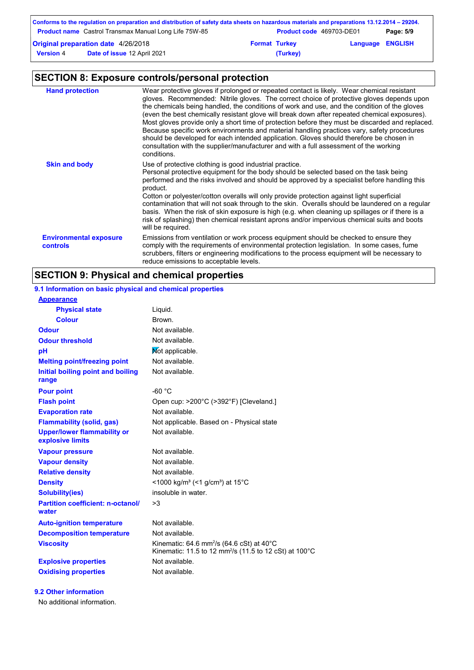| Conforms to the regulation on preparation and distribution of safety data sheets on hazardous materials and preparations 13.12.2014 – 29204. |                             |                      |          |                         |  |  |
|----------------------------------------------------------------------------------------------------------------------------------------------|-----------------------------|----------------------|----------|-------------------------|--|--|
| <b>Product name</b> Castrol Transmax Manual Long Life 75W-85<br><b>Product code</b> 469703-DE01<br>Page: 5/9                                 |                             |                      |          |                         |  |  |
| <b>Original preparation date 4/26/2018</b>                                                                                                   |                             | <b>Format Turkey</b> |          | <b>Language ENGLISH</b> |  |  |
| <b>Version 4</b>                                                                                                                             | Date of issue 12 April 2021 |                      | (Turkey) |                         |  |  |

# **SECTION 8: Exposure controls/personal protection**

| <b>Hand protection</b>                           | Wear protective gloves if prolonged or repeated contact is likely. Wear chemical resistant<br>gloves. Recommended: Nitrile gloves. The correct choice of protective gloves depends upon<br>the chemicals being handled, the conditions of work and use, and the condition of the gloves<br>(even the best chemically resistant glove will break down after repeated chemical exposures).<br>Most gloves provide only a short time of protection before they must be discarded and replaced.<br>Because specific work environments and material handling practices vary, safety procedures<br>should be developed for each intended application. Gloves should therefore be chosen in<br>consultation with the supplier/manufacturer and with a full assessment of the working<br>conditions. |
|--------------------------------------------------|----------------------------------------------------------------------------------------------------------------------------------------------------------------------------------------------------------------------------------------------------------------------------------------------------------------------------------------------------------------------------------------------------------------------------------------------------------------------------------------------------------------------------------------------------------------------------------------------------------------------------------------------------------------------------------------------------------------------------------------------------------------------------------------------|
| <b>Skin and body</b>                             | Use of protective clothing is good industrial practice.<br>Personal protective equipment for the body should be selected based on the task being<br>performed and the risks involved and should be approved by a specialist before handling this<br>product.<br>Cotton or polyester/cotton overalls will only provide protection against light superficial<br>contamination that will not soak through to the skin. Overalls should be laundered on a regular<br>basis. When the risk of skin exposure is high (e.g. when cleaning up spillages or if there is a<br>risk of splashing) then chemical resistant aprons and/or impervious chemical suits and boots<br>will be required.                                                                                                        |
| <b>Environmental exposure</b><br><b>controls</b> | Emissions from ventilation or work process equipment should be checked to ensure they<br>comply with the requirements of environmental protection legislation. In some cases, fume<br>scrubbers, filters or engineering modifications to the process equipment will be necessary to<br>reduce emissions to acceptable levels.                                                                                                                                                                                                                                                                                                                                                                                                                                                                |

# **SECTION 9: Physical and chemical properties**

## **9.1 Information on basic physical and chemical properties**

| <b>Appearance</b>                                      |                                                                                                                                        |
|--------------------------------------------------------|----------------------------------------------------------------------------------------------------------------------------------------|
| <b>Physical state</b>                                  | Liquid.                                                                                                                                |
| <b>Colour</b>                                          | Brown.                                                                                                                                 |
| <b>Odour</b>                                           | Not available.                                                                                                                         |
| <b>Odour threshold</b>                                 | Not available.                                                                                                                         |
| рH                                                     | Mot applicable.                                                                                                                        |
| <b>Melting point/freezing point</b>                    | Not available.                                                                                                                         |
| Initial boiling point and boiling<br>range             | Not available.                                                                                                                         |
| <b>Pour point</b>                                      | $-60 °C$                                                                                                                               |
| <b>Flash point</b>                                     | Open cup: >200°C (>392°F) [Cleveland.]                                                                                                 |
| <b>Evaporation rate</b>                                | Not available.                                                                                                                         |
| <b>Flammability (solid, gas)</b>                       | Not applicable. Based on - Physical state                                                                                              |
| <b>Upper/lower flammability or</b><br>explosive limits | Not available.                                                                                                                         |
| <b>Vapour pressure</b>                                 | Not available.                                                                                                                         |
| <b>Vapour density</b>                                  | Not available.                                                                                                                         |
| <b>Relative density</b>                                | Not available.                                                                                                                         |
| <b>Density</b>                                         | <1000 kg/m <sup>3</sup> (<1 g/cm <sup>3</sup> ) at 15°C                                                                                |
| <b>Solubility(ies)</b>                                 | insoluble in water.                                                                                                                    |
| <b>Partition coefficient: n-octanol/</b><br>water      | >3                                                                                                                                     |
| <b>Auto-ignition temperature</b>                       | Not available.                                                                                                                         |
| <b>Decomposition temperature</b>                       | Not available.                                                                                                                         |
| <b>Viscosity</b>                                       | Kinematic: 64.6 mm <sup>2</sup> /s (64.6 cSt) at 40 $^{\circ}$ C<br>Kinematic: 11.5 to 12 mm <sup>2</sup> /s (11.5 to 12 cSt) at 100°C |
| <b>Explosive properties</b>                            | Not available.                                                                                                                         |
| <b>Oxidising properties</b>                            | Not available.                                                                                                                         |

#### **9.2 Other information**

No additional information.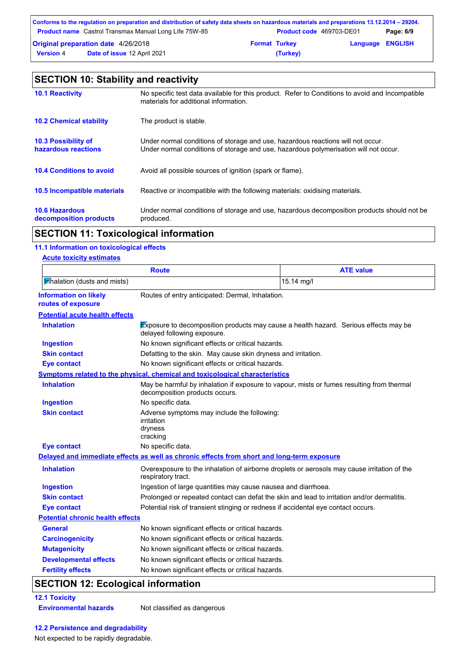| Conforms to the regulation on preparation and distribution of safety data sheets on hazardous materials and preparations 13.12.2014 – 29204. |                                            |                      |          |                         |  |  |
|----------------------------------------------------------------------------------------------------------------------------------------------|--------------------------------------------|----------------------|----------|-------------------------|--|--|
| <b>Product name</b> Castrol Transmax Manual Long Life 75W-85<br>Product code 469703-DE01<br>Page: 6/9                                        |                                            |                      |          |                         |  |  |
|                                                                                                                                              | <b>Original preparation date 4/26/2018</b> | <b>Format Turkey</b> |          | <b>Language ENGLISH</b> |  |  |
| <b>Version 4</b>                                                                                                                             | <b>Date of issue 12 April 2021</b>         |                      | (Turkey) |                         |  |  |

| <b>SECTION 10: Stability and reactivity</b>       |                                                                                                                                                                         |  |  |
|---------------------------------------------------|-------------------------------------------------------------------------------------------------------------------------------------------------------------------------|--|--|
| <b>10.1 Reactivity</b>                            | No specific test data available for this product. Refer to Conditions to avoid and Incompatible<br>materials for additional information.                                |  |  |
| <b>10.2 Chemical stability</b>                    | The product is stable.                                                                                                                                                  |  |  |
| <b>10.3 Possibility of</b><br>hazardous reactions | Under normal conditions of storage and use, hazardous reactions will not occur.<br>Under normal conditions of storage and use, hazardous polymerisation will not occur. |  |  |
| <b>10.4 Conditions to avoid</b>                   | Avoid all possible sources of ignition (spark or flame).                                                                                                                |  |  |
| 10.5 Incompatible materials                       | Reactive or incompatible with the following materials: oxidising materials.                                                                                             |  |  |
| <b>10.6 Hazardous</b><br>decomposition products   | Under normal conditions of storage and use, hazardous decomposition products should not be<br>produced.                                                                 |  |  |

# **SECTION 11: Toxicological information**

#### **11.1 Information on toxicological effects**

| <b>Acute toxicity estimates</b>                    |                                                                                                                             |                                                                                      |  |  |
|----------------------------------------------------|-----------------------------------------------------------------------------------------------------------------------------|--------------------------------------------------------------------------------------|--|--|
|                                                    | <b>Route</b>                                                                                                                | <b>ATE value</b>                                                                     |  |  |
| Minalation (dusts and mists)                       | 15.14 mg/l                                                                                                                  |                                                                                      |  |  |
| <b>Information on likely</b><br>routes of exposure | Routes of entry anticipated: Dermal, Inhalation.                                                                            |                                                                                      |  |  |
| <b>Potential acute health effects</b>              |                                                                                                                             |                                                                                      |  |  |
| <b>Inhalation</b>                                  | delayed following exposure.                                                                                                 | Exposure to decomposition products may cause a health hazard. Serious effects may be |  |  |
| <b>Ingestion</b>                                   | No known significant effects or critical hazards.                                                                           |                                                                                      |  |  |
| <b>Skin contact</b>                                | Defatting to the skin. May cause skin dryness and irritation.                                                               |                                                                                      |  |  |
| <b>Eye contact</b>                                 | No known significant effects or critical hazards.                                                                           |                                                                                      |  |  |
|                                                    | Symptoms related to the physical, chemical and toxicological characteristics                                                |                                                                                      |  |  |
| <b>Inhalation</b>                                  | May be harmful by inhalation if exposure to vapour, mists or fumes resulting from thermal<br>decomposition products occurs. |                                                                                      |  |  |
| <b>Ingestion</b>                                   | No specific data.                                                                                                           |                                                                                      |  |  |
| <b>Skin contact</b>                                | Adverse symptoms may include the following:<br>irritation<br>dryness<br>cracking                                            |                                                                                      |  |  |
| <b>Eye contact</b>                                 | No specific data.                                                                                                           |                                                                                      |  |  |
|                                                    | Delayed and immediate effects as well as chronic effects from short and long-term exposure                                  |                                                                                      |  |  |
| <b>Inhalation</b>                                  | Overexposure to the inhalation of airborne droplets or aerosols may cause irritation of the<br>respiratory tract.           |                                                                                      |  |  |
| <b>Ingestion</b>                                   | Ingestion of large quantities may cause nausea and diarrhoea.                                                               |                                                                                      |  |  |
| <b>Skin contact</b>                                | Prolonged or repeated contact can defat the skin and lead to irritation and/or dermatitis.                                  |                                                                                      |  |  |
| <b>Eye contact</b>                                 | Potential risk of transient stinging or redness if accidental eye contact occurs.                                           |                                                                                      |  |  |
| <b>Potential chronic health effects</b>            |                                                                                                                             |                                                                                      |  |  |
| <b>General</b>                                     | No known significant effects or critical hazards.                                                                           |                                                                                      |  |  |
| <b>Carcinogenicity</b>                             | No known significant effects or critical hazards.                                                                           |                                                                                      |  |  |
| <b>Mutagenicity</b>                                | No known significant effects or critical hazards.                                                                           |                                                                                      |  |  |
| <b>Developmental effects</b>                       | No known significant effects or critical hazards.                                                                           |                                                                                      |  |  |
| <b>Fertility effects</b>                           | No known significant effects or critical hazards.                                                                           |                                                                                      |  |  |

# **SECTION 12: Ecological information**

#### **12.1 Toxicity Environmental hazards** Not classified as dangerous

#### **12.2 Persistence and degradability**

Not expected to be rapidly degradable.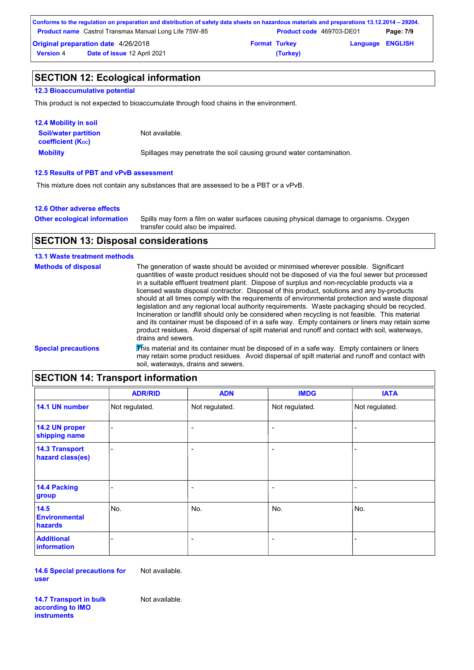| Conforms to the regulation on preparation and distribution of safety data sheets on hazardous materials and preparations 13.12.2014 – 29204. |                                                              |                      |                                 |                         |           |  |
|----------------------------------------------------------------------------------------------------------------------------------------------|--------------------------------------------------------------|----------------------|---------------------------------|-------------------------|-----------|--|
|                                                                                                                                              | <b>Product name</b> Castrol Transmax Manual Long Life 75W-85 |                      | <b>Product code</b> 469703-DE01 |                         | Page: 7/9 |  |
|                                                                                                                                              | <b>Original preparation date 4/26/2018</b>                   | <b>Format Turkey</b> |                                 | <b>Language ENGLISH</b> |           |  |
| <b>Version 4</b>                                                                                                                             | Date of issue 12 April 2021                                  |                      | (Turkey)                        |                         |           |  |

## **SECTION 12: Ecological information**

#### **12.3 Bioaccumulative potential**

This product is not expected to bioaccumulate through food chains in the environment.

| <b>12.4 Mobility in soil</b>                                  |                                                                      |
|---------------------------------------------------------------|----------------------------------------------------------------------|
| <b>Soil/water partition</b><br>coefficient (K <sub>oc</sub> ) | Not available.                                                       |
| <b>Mobility</b>                                               | Spillages may penetrate the soil causing ground water contamination. |

#### **12.5 Results of PBT and vPvB assessment**

This mixture does not contain any substances that are assessed to be a PBT or a vPvB.

#### **12.6 Other adverse effects**

Spills may form a film on water surfaces causing physical damage to organisms. Oxygen transfer could also be impaired. **Other ecological information**

### **SECTION 13: Disposal considerations**

#### **13.1 Waste treatment methods**

| <b>Methods of disposal</b> | The generation of waste should be avoided or minimised wherever possible. Significant<br>quantities of waste product residues should not be disposed of via the foul sewer but processed<br>in a suitable effluent treatment plant. Dispose of surplus and non-recyclable products via a<br>licensed waste disposal contractor. Disposal of this product, solutions and any by-products<br>should at all times comply with the requirements of environmental protection and waste disposal<br>legislation and any regional local authority requirements. Waste packaging should be recycled.<br>Incineration or landfill should only be considered when recycling is not feasible. This material<br>and its container must be disposed of in a safe way. Empty containers or liners may retain some<br>product residues. Avoid dispersal of spilt material and runoff and contact with soil, waterways, |
|----------------------------|---------------------------------------------------------------------------------------------------------------------------------------------------------------------------------------------------------------------------------------------------------------------------------------------------------------------------------------------------------------------------------------------------------------------------------------------------------------------------------------------------------------------------------------------------------------------------------------------------------------------------------------------------------------------------------------------------------------------------------------------------------------------------------------------------------------------------------------------------------------------------------------------------------|
|                            | drains and sewers.                                                                                                                                                                                                                                                                                                                                                                                                                                                                                                                                                                                                                                                                                                                                                                                                                                                                                      |
| <b>Special precautions</b> | This material and its container must be disposed of in a safe way. Empty containers or liners<br>may retain some product residues. Avoid dispersal of spilt material and runoff and contact with<br>soil, waterways, drains and sewers.                                                                                                                                                                                                                                                                                                                                                                                                                                                                                                                                                                                                                                                                 |

# **SECTION 14: Transport information**

|                                           | <b>ADR/RID</b> | <b>ADN</b>               | <b>IMDG</b>              | <b>IATA</b>    |
|-------------------------------------------|----------------|--------------------------|--------------------------|----------------|
| 14.1 UN number                            | Not regulated. | Not regulated.           | Not regulated.           | Not regulated. |
| 14.2 UN proper<br>shipping name           |                | $\overline{\phantom{a}}$ | $\overline{\phantom{a}}$ |                |
| <b>14.3 Transport</b><br>hazard class(es) | ÷              | $\overline{\phantom{a}}$ | $\overline{\phantom{a}}$ |                |
| 14.4 Packing<br>group                     |                | $\overline{a}$           | $\overline{\phantom{a}}$ |                |
| 14.5<br><b>Environmental</b><br>hazards   | No.            | No.                      | No.                      | No.            |
| <b>Additional</b><br>information          |                | $\overline{\phantom{a}}$ | $\overline{\phantom{a}}$ |                |

**14.6 Special precautions for user** Not available.

**14.7 Transport in bulk according to IMO instruments**

Not available.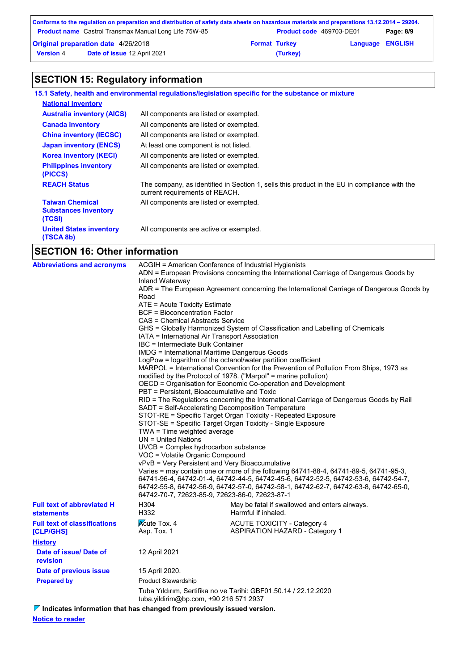|                                            | Conforms to the regulation on preparation and distribution of safety data sheets on hazardous materials and preparations 13.12.2014 – 29204. |                                 |          |                         |  |
|--------------------------------------------|----------------------------------------------------------------------------------------------------------------------------------------------|---------------------------------|----------|-------------------------|--|
|                                            | <b>Product name</b> Castrol Transmax Manual Long Life 75W-85                                                                                 | <b>Product code</b> 469703-DE01 |          | Page: 8/9               |  |
| <b>Original preparation date 4/26/2018</b> |                                                                                                                                              | <b>Format Turkey</b>            |          | <b>Language ENGLISH</b> |  |
| <b>Version 4</b>                           | Date of issue 12 April 2021                                                                                                                  |                                 | (Turkey) |                         |  |

# **SECTION 15: Regulatory information**

|                                                                 | 15.1 Safety, health and environmental regulations/legislation specific for the substance or mixture                            |
|-----------------------------------------------------------------|--------------------------------------------------------------------------------------------------------------------------------|
| <b>National inventory</b>                                       |                                                                                                                                |
| <b>Australia inventory (AICS)</b>                               | All components are listed or exempted.                                                                                         |
| <b>Canada inventory</b>                                         | All components are listed or exempted.                                                                                         |
| <b>China inventory (IECSC)</b>                                  | All components are listed or exempted.                                                                                         |
| <b>Japan inventory (ENCS)</b>                                   | At least one component is not listed.                                                                                          |
| <b>Korea inventory (KECI)</b>                                   | All components are listed or exempted.                                                                                         |
| <b>Philippines inventory</b><br>(PICCS)                         | All components are listed or exempted.                                                                                         |
| <b>REACH Status</b>                                             | The company, as identified in Section 1, sells this product in the EU in compliance with the<br>current requirements of REACH. |
| <b>Taiwan Chemical</b><br><b>Substances Inventory</b><br>(TCSI) | All components are listed or exempted.                                                                                         |
| <b>United States inventory</b><br>(TSCA 8b)                     | All components are active or exempted.                                                                                         |
|                                                                 |                                                                                                                                |

# **SECTION 16: Other information**

| <b>Abbreviations and acronyms</b>                | ACGIH = American Conference of Industrial Hygienists<br>ADN = European Provisions concerning the International Carriage of Dangerous Goods by<br>Inland Waterway<br>ADR = The European Agreement concerning the International Carriage of Dangerous Goods by<br>Road<br>ATE = Acute Toxicity Estimate<br><b>BCF = Bioconcentration Factor</b><br>CAS = Chemical Abstracts Service<br>GHS = Globally Harmonized System of Classification and Labelling of Chemicals<br>IATA = International Air Transport Association<br>IBC = Intermediate Bulk Container<br><b>IMDG = International Maritime Dangerous Goods</b><br>LogPow = logarithm of the octanol/water partition coefficient<br>MARPOL = International Convention for the Prevention of Pollution From Ships, 1973 as<br>modified by the Protocol of 1978. ("Marpol" = marine pollution)<br>OECD = Organisation for Economic Co-operation and Development<br>PBT = Persistent, Bioaccumulative and Toxic<br>RID = The Regulations concerning the International Carriage of Dangerous Goods by Rail<br>SADT = Self-Accelerating Decomposition Temperature<br>STOT-RE = Specific Target Organ Toxicity - Repeated Exposure<br>STOT-SE = Specific Target Organ Toxicity - Single Exposure<br>TWA = Time weighted average<br>UN = United Nations<br>UVCB = Complex hydrocarbon substance<br>VOC = Volatile Organic Compound<br>vPvB = Very Persistent and Very Bioaccumulative<br>Varies = may contain one or more of the following 64741-88-4, 64741-89-5, 64741-95-3, |                                                                             |  |
|--------------------------------------------------|---------------------------------------------------------------------------------------------------------------------------------------------------------------------------------------------------------------------------------------------------------------------------------------------------------------------------------------------------------------------------------------------------------------------------------------------------------------------------------------------------------------------------------------------------------------------------------------------------------------------------------------------------------------------------------------------------------------------------------------------------------------------------------------------------------------------------------------------------------------------------------------------------------------------------------------------------------------------------------------------------------------------------------------------------------------------------------------------------------------------------------------------------------------------------------------------------------------------------------------------------------------------------------------------------------------------------------------------------------------------------------------------------------------------------------------------------------------------------------------------------------------------------|-----------------------------------------------------------------------------|--|
| <b>Full text of abbreviated H</b>                | 64742-70-7, 72623-85-9, 72623-86-0, 72623-87-1<br>H304                                                                                                                                                                                                                                                                                                                                                                                                                                                                                                                                                                                                                                                                                                                                                                                                                                                                                                                                                                                                                                                                                                                                                                                                                                                                                                                                                                                                                                                                    | May be fatal if swallowed and enters airways.                               |  |
| <b>statements</b>                                | H332                                                                                                                                                                                                                                                                                                                                                                                                                                                                                                                                                                                                                                                                                                                                                                                                                                                                                                                                                                                                                                                                                                                                                                                                                                                                                                                                                                                                                                                                                                                      | Harmful if inhaled.                                                         |  |
| <b>Full text of classifications</b><br>[CLP/GHS] | <b>Acute Tox. 4</b><br>Asp. Tox. 1                                                                                                                                                                                                                                                                                                                                                                                                                                                                                                                                                                                                                                                                                                                                                                                                                                                                                                                                                                                                                                                                                                                                                                                                                                                                                                                                                                                                                                                                                        | <b>ACUTE TOXICITY - Category 4</b><br><b>ASPIRATION HAZARD - Category 1</b> |  |
| <b>History</b>                                   |                                                                                                                                                                                                                                                                                                                                                                                                                                                                                                                                                                                                                                                                                                                                                                                                                                                                                                                                                                                                                                                                                                                                                                                                                                                                                                                                                                                                                                                                                                                           |                                                                             |  |
| Date of issue/ Date of<br>revision               | 12 April 2021                                                                                                                                                                                                                                                                                                                                                                                                                                                                                                                                                                                                                                                                                                                                                                                                                                                                                                                                                                                                                                                                                                                                                                                                                                                                                                                                                                                                                                                                                                             |                                                                             |  |
| Date of previous issue                           | 15 April 2020.                                                                                                                                                                                                                                                                                                                                                                                                                                                                                                                                                                                                                                                                                                                                                                                                                                                                                                                                                                                                                                                                                                                                                                                                                                                                                                                                                                                                                                                                                                            |                                                                             |  |
| <b>Prepared by</b>                               | <b>Product Stewardship</b>                                                                                                                                                                                                                                                                                                                                                                                                                                                                                                                                                                                                                                                                                                                                                                                                                                                                                                                                                                                                                                                                                                                                                                                                                                                                                                                                                                                                                                                                                                |                                                                             |  |
|                                                  | tuba.yildirim@bp.com, +90 216 571 2937                                                                                                                                                                                                                                                                                                                                                                                                                                                                                                                                                                                                                                                                                                                                                                                                                                                                                                                                                                                                                                                                                                                                                                                                                                                                                                                                                                                                                                                                                    | Tuba Yıldırım, Sertifika no ve Tarihi: GBF01.50.14 / 22.12.2020             |  |

**Indicates information that has changed from previously issued version.**

**Notice to reader**